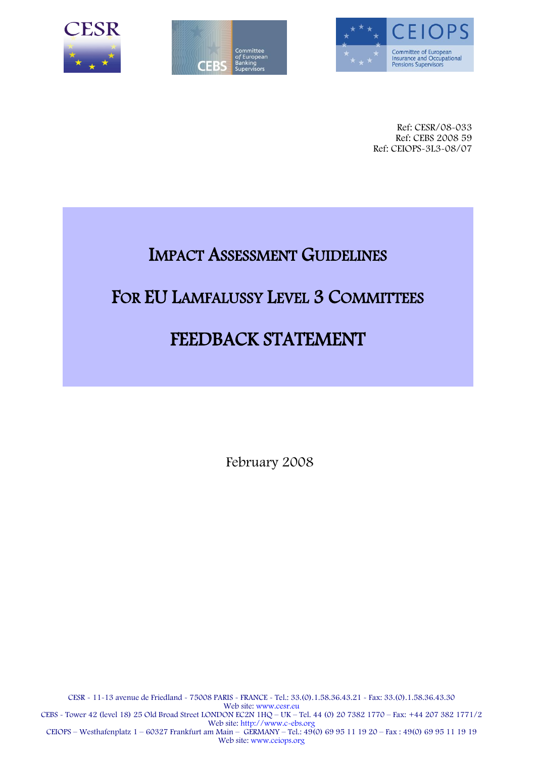





Ref: CESR/08-033 Ref: CEBS 2008 59 Ref: CEIOPS-3L3-08/07

# IMPACT ASSESSMENT GUIDELINES

## FOR EU LAMFALUSSY LEVEL 3 COMMITTEES

# FEEDBACK STATEMENT

February 2008

CESR - 11-13 avenue de Friedland - 75008 PARIS - FRANCE - Tel.: 33.(0).1.58.36.43.21 - Fax: 33.(0).1.58.36.43.30 Web site: www.cesr.eu CEBS - Tower 42 (level 18) 25 Old Broad Street LONDON EC2N 1HQ – UK – Tel. 44 (0) 20 7382 1770 – Fax: +44 207 382 1771/2 Web site: http://www.c-ebs.org CEIOPS – Westhafenplatz 1 – 60327 Frankfurt am Main – GERMANY – Tel.: 49(0) 69 95 11 19 20 – Fax : 49(0) 69 95 11 19 19 Web site: www.ceiops.org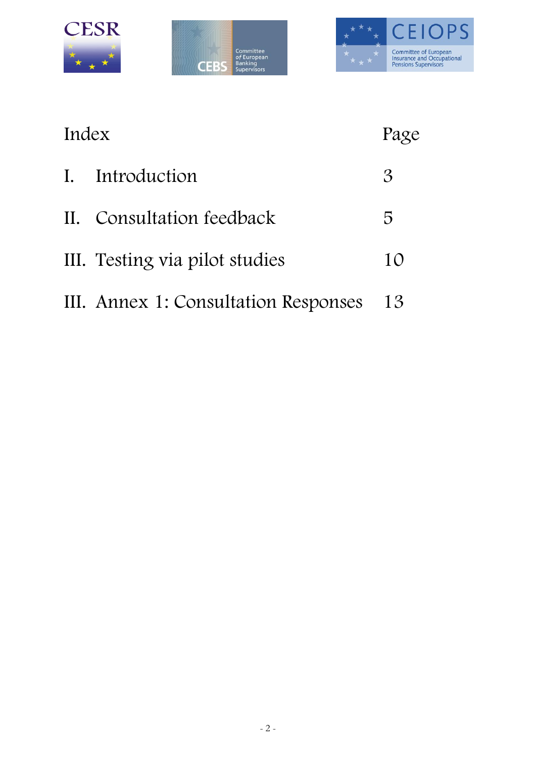





| Index          |                                      | Page          |
|----------------|--------------------------------------|---------------|
| $\mathbf{I}$ . | Introduction                         | $\mathcal{S}$ |
|                | II. Consultation feedback            | 5             |
|                | III. Testing via pilot studies       | 10            |
|                | III. Annex 1: Consultation Responses | 13            |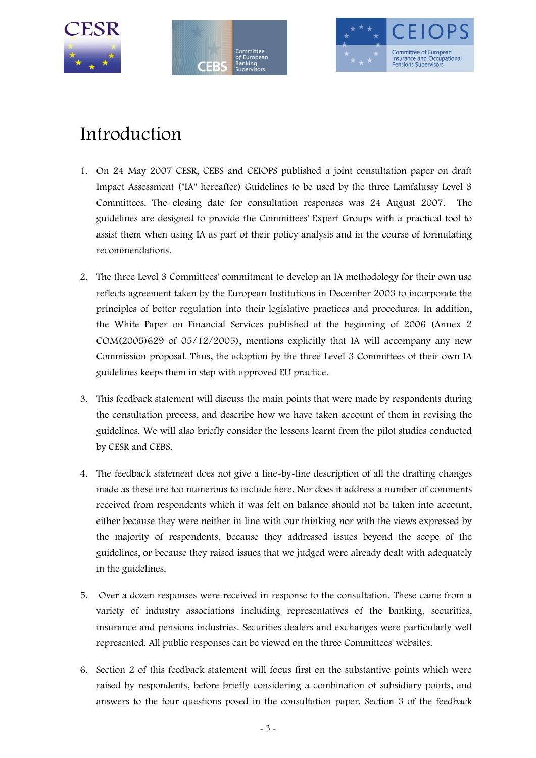





# Introduction

- 1. On 24 May 2007 CESR, CEBS and CEIOPS published a joint consultation paper on draft Impact Assessment ("IA" hereafter) Guidelines to be used by the three Lamfalussy Level 3 Committees. The closing date for consultation responses was 24 August 2007. The guidelines are designed to provide the Committees' Expert Groups with a practical tool to assist them when using IA as part of their policy analysis and in the course of formulating recommendations.
- 2. The three Level 3 Committees' commitment to develop an IA methodology for their own use reflects agreement taken by the European Institutions in December 2003 to incorporate the principles of better regulation into their legislative practices and procedures. In addition, the White Paper on Financial Services published at the beginning of 2006 (Annex 2  $COM(2005)629$  of  $05/12/2005$ , mentions explicitly that IA will accompany any new Commission proposal. Thus, the adoption by the three Level 3 Committees of their own IA guidelines keeps them in step with approved EU practice.
- 3. This feedback statement will discuss the main points that were made by respondents during the consultation process, and describe how we have taken account of them in revising the guidelines. We will also briefly consider the lessons learnt from the pilot studies conducted by CESR and CEBS.
- 4. The feedback statement does not give a line-by-line description of all the drafting changes made as these are too numerous to include here. Nor does it address a number of comments received from respondents which it was felt on balance should not be taken into account, either because they were neither in line with our thinking nor with the views expressed by the majority of respondents, because they addressed issues beyond the scope of the guidelines, or because they raised issues that we judged were already dealt with adequately in the guidelines.
- 5. Over a dozen responses were received in response to the consultation. These came from a variety of industry associations including representatives of the banking, securities, insurance and pensions industries. Securities dealers and exchanges were particularly well represented. All public responses can be viewed on the three Committees' websites.
- 6. Section 2 of this feedback statement will focus first on the substantive points which were raised by respondents, before briefly considering a combination of subsidiary points, and answers to the four questions posed in the consultation paper. Section 3 of the feedback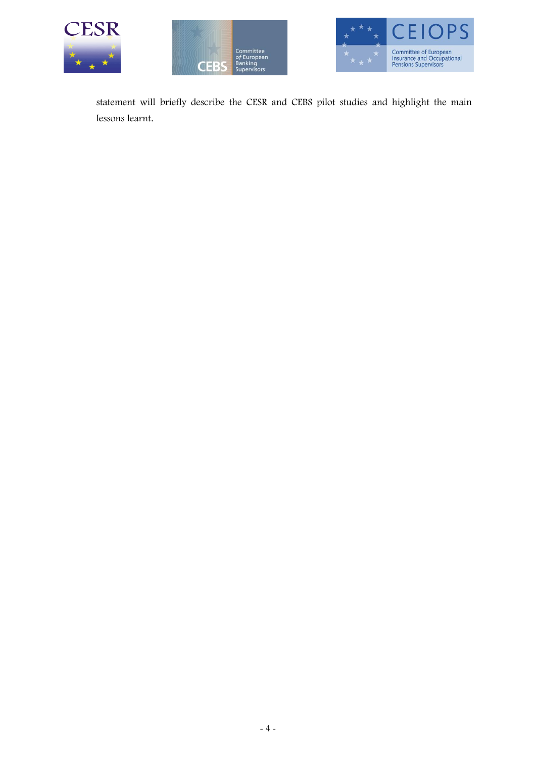





statement will briefly describe the CESR and CEBS pilot studies and highlight the main lessons learnt.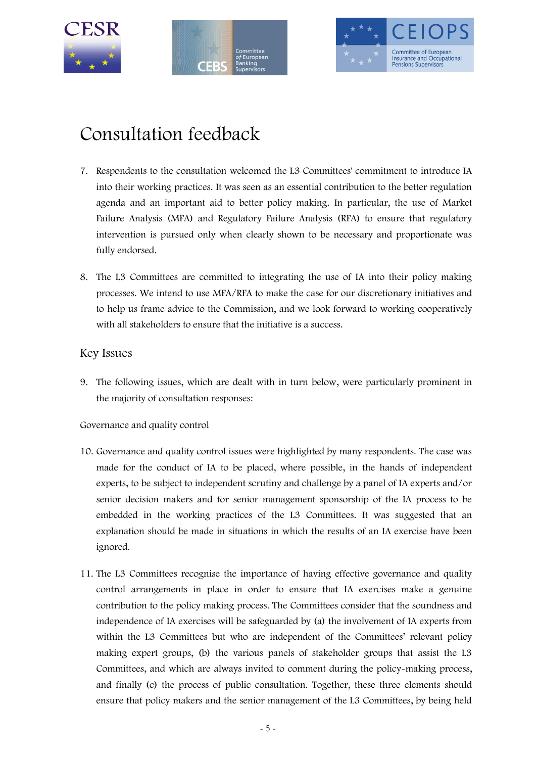





# Consultation feedback

- 7. Respondents to the consultation welcomed the L3 Committees' commitment to introduce IA into their working practices. It was seen as an essential contribution to the better regulation agenda and an important aid to better policy making. In particular, the use of Market Failure Analysis (MFA) and Regulatory Failure Analysis (RFA) to ensure that regulatory intervention is pursued only when clearly shown to be necessary and proportionate was fully endorsed.
- 8. The L3 Committees are committed to integrating the use of IA into their policy making processes. We intend to use MFA/RFA to make the case for our discretionary initiatives and to help us frame advice to the Commission, and we look forward to working cooperatively with all stakeholders to ensure that the initiative is a success.

### Key Issues

9. The following issues, which are dealt with in turn below, were particularly prominent in the majority of consultation responses:

Governance and quality control

- 10. Governance and quality control issues were highlighted by many respondents. The case was made for the conduct of IA to be placed, where possible, in the hands of independent experts, to be subject to independent scrutiny and challenge by a panel of IA experts and/or senior decision makers and for senior management sponsorship of the IA process to be embedded in the working practices of the L3 Committees. It was suggested that an explanation should be made in situations in which the results of an IA exercise have been ignored.
- 11. The L3 Committees recognise the importance of having effective governance and quality control arrangements in place in order to ensure that IA exercises make a genuine contribution to the policy making process. The Committees consider that the soundness and independence of IA exercises will be safeguarded by (a) the involvement of IA experts from within the L3 Committees but who are independent of the Committees' relevant policy making expert groups, (b) the various panels of stakeholder groups that assist the L3 Committees, and which are always invited to comment during the policy-making process, and finally (c) the process of public consultation. Together, these three elements should ensure that policy makers and the senior management of the L3 Committees, by being held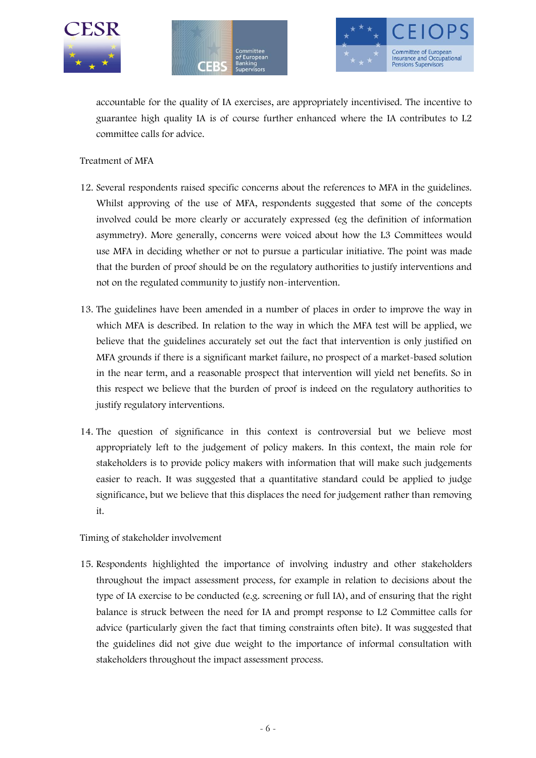





accountable for the quality of IA exercises, are appropriately incentivised. The incentive to guarantee high quality IA is of course further enhanced where the IA contributes to L2 committee calls for advice.

#### Treatment of MFA

- 12. Several respondents raised specific concerns about the references to MFA in the guidelines. Whilst approving of the use of MFA, respondents suggested that some of the concepts involved could be more clearly or accurately expressed (eg the definition of information asymmetry). More generally, concerns were voiced about how the L3 Committees would use MFA in deciding whether or not to pursue a particular initiative. The point was made that the burden of proof should be on the regulatory authorities to justify interventions and not on the regulated community to justify non-intervention.
- 13. The guidelines have been amended in a number of places in order to improve the way in which MFA is described. In relation to the way in which the MFA test will be applied, we believe that the guidelines accurately set out the fact that intervention is only justified on MFA grounds if there is a significant market failure, no prospect of a market-based solution in the near term, and a reasonable prospect that intervention will yield net benefits. So in this respect we believe that the burden of proof is indeed on the regulatory authorities to justify regulatory interventions.
- 14. The question of significance in this context is controversial but we believe most appropriately left to the judgement of policy makers. In this context, the main role for stakeholders is to provide policy makers with information that will make such judgements easier to reach. It was suggested that a quantitative standard could be applied to judge significance, but we believe that this displaces the need for judgement rather than removing it.

#### Timing of stakeholder involvement

15. Respondents highlighted the importance of involving industry and other stakeholders throughout the impact assessment process, for example in relation to decisions about the type of IA exercise to be conducted (e.g. screening or full IA), and of ensuring that the right balance is struck between the need for IA and prompt response to L2 Committee calls for advice (particularly given the fact that timing constraints often bite). It was suggested that the guidelines did not give due weight to the importance of informal consultation with stakeholders throughout the impact assessment process.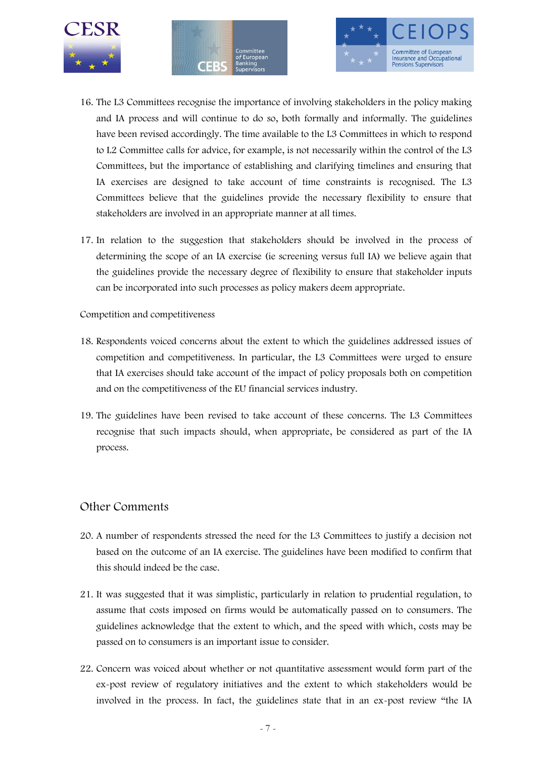





- 16. The L3 Committees recognise the importance of involving stakeholders in the policy making and IA process and will continue to do so, both formally and informally. The guidelines have been revised accordingly. The time available to the L3 Committees in which to respond to L2 Committee calls for advice, for example, is not necessarily within the control of the L3 Committees, but the importance of establishing and clarifying timelines and ensuring that IA exercises are designed to take account of time constraints is recognised. The L3 Committees believe that the guidelines provide the necessary flexibility to ensure that stakeholders are involved in an appropriate manner at all times.
- 17. In relation to the suggestion that stakeholders should be involved in the process of determining the scope of an IA exercise (ie screening versus full IA) we believe again that the guidelines provide the necessary degree of flexibility to ensure that stakeholder inputs can be incorporated into such processes as policy makers deem appropriate.

#### Competition and competitiveness

- 18. Respondents voiced concerns about the extent to which the guidelines addressed issues of competition and competitiveness. In particular, the L3 Committees were urged to ensure that IA exercises should take account of the impact of policy proposals both on competition and on the competitiveness of the EU financial services industry.
- 19. The guidelines have been revised to take account of these concerns. The L3 Committees recognise that such impacts should, when appropriate, be considered as part of the IA process.

#### Other Comments

- 20. A number of respondents stressed the need for the L3 Committees to justify a decision not based on the outcome of an IA exercise. The guidelines have been modified to confirm that this should indeed be the case.
- 21. It was suggested that it was simplistic, particularly in relation to prudential regulation, to assume that costs imposed on firms would be automatically passed on to consumers. The guidelines acknowledge that the extent to which, and the speed with which, costs may be passed on to consumers is an important issue to consider.
- 22. Concern was voiced about whether or not quantitative assessment would form part of the ex-post review of regulatory initiatives and the extent to which stakeholders would be involved in the process. In fact, the guidelines state that in an ex-post review "the IA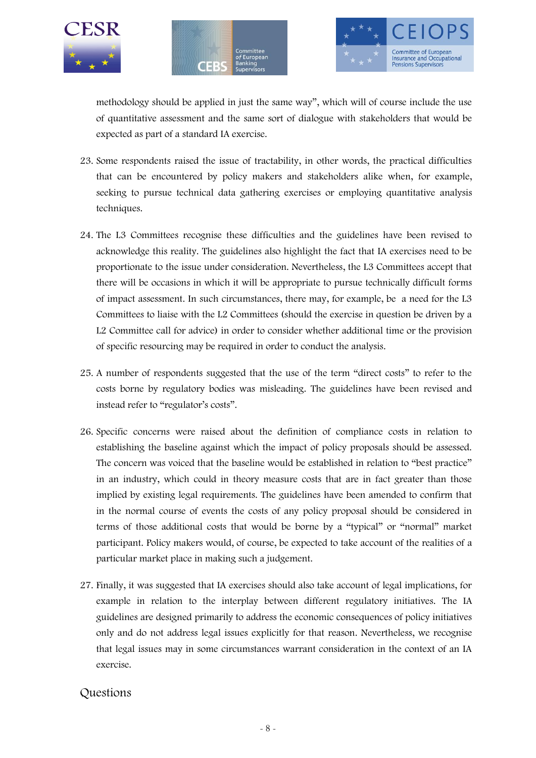





methodology should be applied in just the same way", which will of course include the use of quantitative assessment and the same sort of dialogue with stakeholders that would be expected as part of a standard IA exercise.

- 23. Some respondents raised the issue of tractability, in other words, the practical difficulties that can be encountered by policy makers and stakeholders alike when, for example, seeking to pursue technical data gathering exercises or employing quantitative analysis techniques.
- 24. The L3 Committees recognise these difficulties and the guidelines have been revised to acknowledge this reality. The guidelines also highlight the fact that IA exercises need to be proportionate to the issue under consideration. Nevertheless, the L3 Committees accept that there will be occasions in which it will be appropriate to pursue technically difficult forms of impact assessment. In such circumstances, there may, for example, be a need for the L3 Committees to liaise with the L2 Committees (should the exercise in question be driven by a L2 Committee call for advice) in order to consider whether additional time or the provision of specific resourcing may be required in order to conduct the analysis.
- 25. A number of respondents suggested that the use of the term "direct costs" to refer to the costs borne by regulatory bodies was misleading. The guidelines have been revised and instead refer to "regulator's costs".
- 26. Specific concerns were raised about the definition of compliance costs in relation to establishing the baseline against which the impact of policy proposals should be assessed. The concern was voiced that the baseline would be established in relation to "best practice" in an industry, which could in theory measure costs that are in fact greater than those implied by existing legal requirements. The guidelines have been amended to confirm that in the normal course of events the costs of any policy proposal should be considered in terms of those additional costs that would be borne by a "typical" or "normal" market participant. Policy makers would, of course, be expected to take account of the realities of a particular market place in making such a judgement.
- 27. Finally, it was suggested that IA exercises should also take account of legal implications, for example in relation to the interplay between different regulatory initiatives. The IA guidelines are designed primarily to address the economic consequences of policy initiatives only and do not address legal issues explicitly for that reason. Nevertheless, we recognise that legal issues may in some circumstances warrant consideration in the context of an IA exercise.

## Questions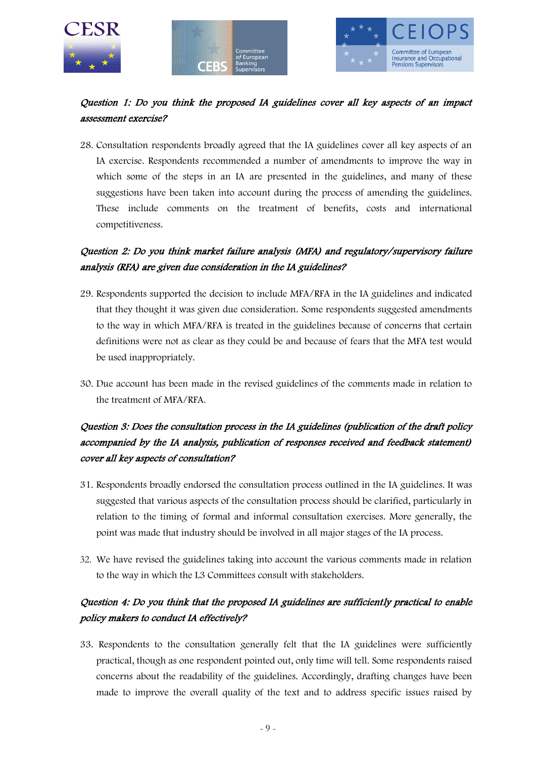





## Question 1: Do you think the proposed IA guidelines cover all key aspects of an impact assessment exercise?

28. Consultation respondents broadly agreed that the IA guidelines cover all key aspects of an IA exercise. Respondents recommended a number of amendments to improve the way in which some of the steps in an IA are presented in the guidelines, and many of these suggestions have been taken into account during the process of amending the guidelines. These include comments on the treatment of benefits, costs and international competitiveness.

## Question 2: Do you think market failure analysis (MFA) and regulatory/supervisory failure analysis (RFA) are given due consideration in the IA guidelines?

- 29. Respondents supported the decision to include MFA/RFA in the IA guidelines and indicated that they thought it was given due consideration. Some respondents suggested amendments to the way in which MFA/RFA is treated in the guidelines because of concerns that certain definitions were not as clear as they could be and because of fears that the MFA test would be used inappropriately.
- 30. Due account has been made in the revised guidelines of the comments made in relation to the treatment of MFA/RFA.

## Question 3: Does the consultation process in the IA guidelines (publication of the draft policy accompanied by the IA analysis, publication of responses received and feedback statement) cover all key aspects of consultation?

- 31. Respondents broadly endorsed the consultation process outlined in the IA guidelines. It was suggested that various aspects of the consultation process should be clarified, particularly in relation to the timing of formal and informal consultation exercises. More generally, the point was made that industry should be involved in all major stages of the IA process.
- 32. We have revised the guidelines taking into account the various comments made in relation to the way in which the L3 Committees consult with stakeholders.

## Question 4: Do you think that the proposed IA guidelines are sufficiently practical to enable policy makers to conduct IA effectively?

33. Respondents to the consultation generally felt that the IA guidelines were sufficiently practical, though as one respondent pointed out, only time will tell. Some respondents raised concerns about the readability of the guidelines. Accordingly, drafting changes have been made to improve the overall quality of the text and to address specific issues raised by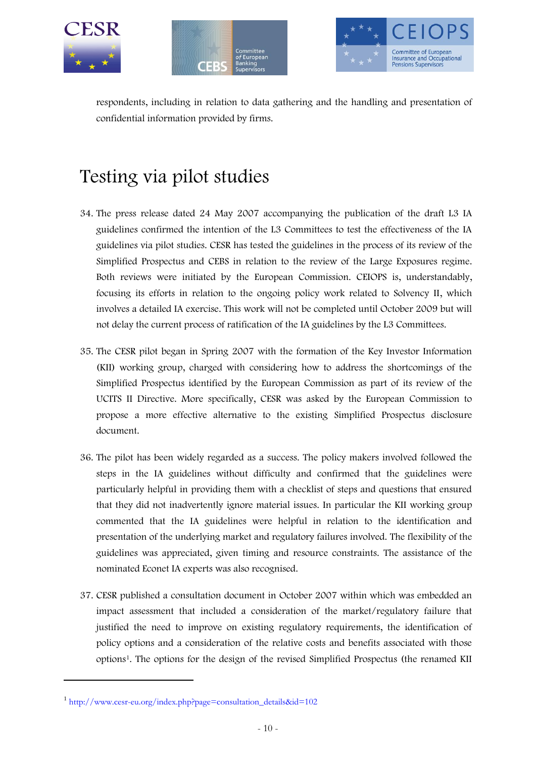





respondents, including in relation to data gathering and the handling and presentation of confidential information provided by firms.

# Testing via pilot studies

- 34. The press release dated 24 May 2007 accompanying the publication of the draft L3 IA guidelines confirmed the intention of the L3 Committees to test the effectiveness of the IA guidelines via pilot studies. CESR has tested the guidelines in the process of its review of the Simplified Prospectus and CEBS in relation to the review of the Large Exposures regime. Both reviews were initiated by the European Commission. CEIOPS is, understandably, focusing its efforts in relation to the ongoing policy work related to Solvency II, which involves a detailed IA exercise. This work will not be completed until October 2009 but will not delay the current process of ratification of the IA guidelines by the L3 Committees.
- 35. The CESR pilot began in Spring 2007 with the formation of the Key Investor Information (KII) working group, charged with considering how to address the shortcomings of the Simplified Prospectus identified by the European Commission as part of its review of the UCITS II Directive. More specifically, CESR was asked by the European Commission to propose a more effective alternative to the existing Simplified Prospectus disclosure document.
- 36. The pilot has been widely regarded as a success. The policy makers involved followed the steps in the IA guidelines without difficulty and confirmed that the guidelines were particularly helpful in providing them with a checklist of steps and questions that ensured that they did not inadvertently ignore material issues. In particular the KII working group commented that the IA guidelines were helpful in relation to the identification and presentation of the underlying market and regulatory failures involved. The flexibility of the guidelines was appreciated, given timing and resource constraints. The assistance of the nominated Econet IA experts was also recognised.
- 37. CESR published a consultation document in October 2007 within which was embedded an impact assessment that included a consideration of the market/regulatory failure that justified the need to improve on existing regulatory requirements, the identification of policy options and a consideration of the relative costs and benefits associated with those options1. The options for the design of the revised Simplified Prospectus (the renamed KII

 $\ddot{\phantom{a}}$ 

<sup>1</sup> [http://www.cesr-eu.org/index.php?page=consultation\\_details&id=102](http://www.cesr-eu.org/index.php?page=consultation_details&id=102)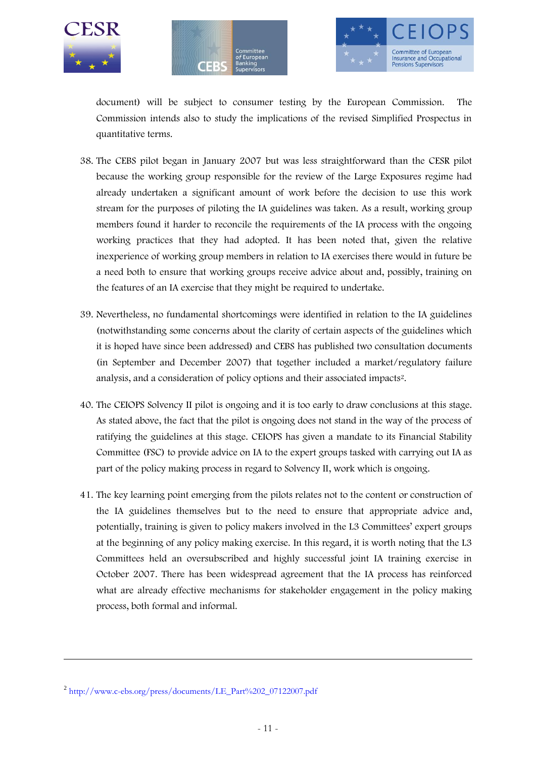





document) will be subject to consumer testing by the European Commission. The Commission intends also to study the implications of the revised Simplified Prospectus in quantitative terms.

- 38. The CEBS pilot began in January 2007 but was less straightforward than the CESR pilot because the working group responsible for the review of the Large Exposures regime had already undertaken a significant amount of work before the decision to use this work stream for the purposes of piloting the IA guidelines was taken. As a result, working group members found it harder to reconcile the requirements of the IA process with the ongoing working practices that they had adopted. It has been noted that, given the relative inexperience of working group members in relation to IA exercises there would in future be a need both to ensure that working groups receive advice about and, possibly, training on the features of an IA exercise that they might be required to undertake.
- 39. Nevertheless, no fundamental shortcomings were identified in relation to the IA guidelines (notwithstanding some concerns about the clarity of certain aspects of the guidelines which it is hoped have since been addressed) and CEBS has published two consultation documents (in September and December 2007) that together included a market/regulatory failure analysis, and a consideration of policy options and their associated impacts2.
- 40. The CEIOPS Solvency II pilot is ongoing and it is too early to draw conclusions at this stage. As stated above, the fact that the pilot is ongoing does not stand in the way of the process of ratifying the guidelines at this stage. CEIOPS has given a mandate to its Financial Stability Committee (FSC) to provide advice on IA to the expert groups tasked with carrying out IA as part of the policy making process in regard to Solvency II, work which is ongoing.
- 41. The key learning point emerging from the pilots relates not to the content or construction of the IA guidelines themselves but to the need to ensure that appropriate advice and, potentially, training is given to policy makers involved in the L3 Committees' expert groups at the beginning of any policy making exercise. In this regard, it is worth noting that the L3 Committees held an oversubscribed and highly successful joint IA training exercise in October 2007. There has been widespread agreement that the IA process has reinforced what are already effective mechanisms for stakeholder engagement in the policy making process, both formal and informal.

 $\overline{a}$ 

<sup>&</sup>lt;sup>2</sup> [http://www.c-ebs.org/press/documents/LE\\_Part%202\\_07122007.pdf](http://www.c-ebs.org/press/documents/LE_Part%202_07122007.pdf)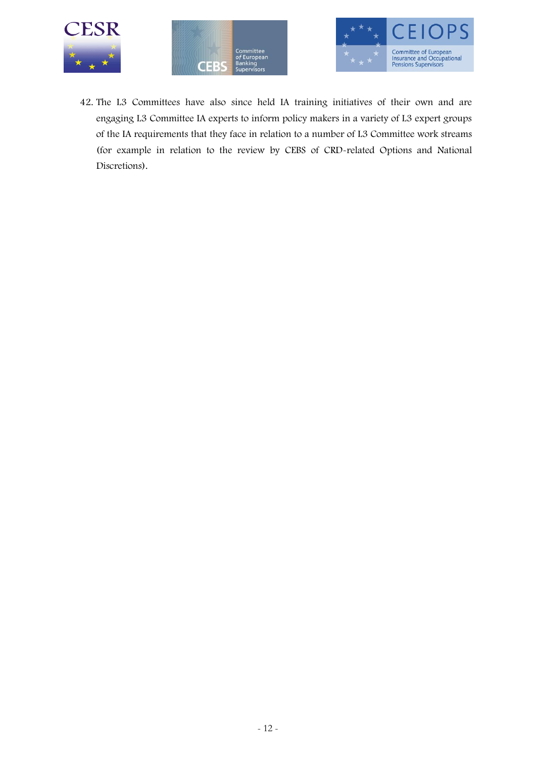





42. The L3 Committees have also since held IA training initiatives of their own and are engaging L3 Committee IA experts to inform policy makers in a variety of L3 expert groups of the IA requirements that they face in relation to a number of L3 Committee work streams (for example in relation to the review by CEBS of CRD-related Options and National Discretions).